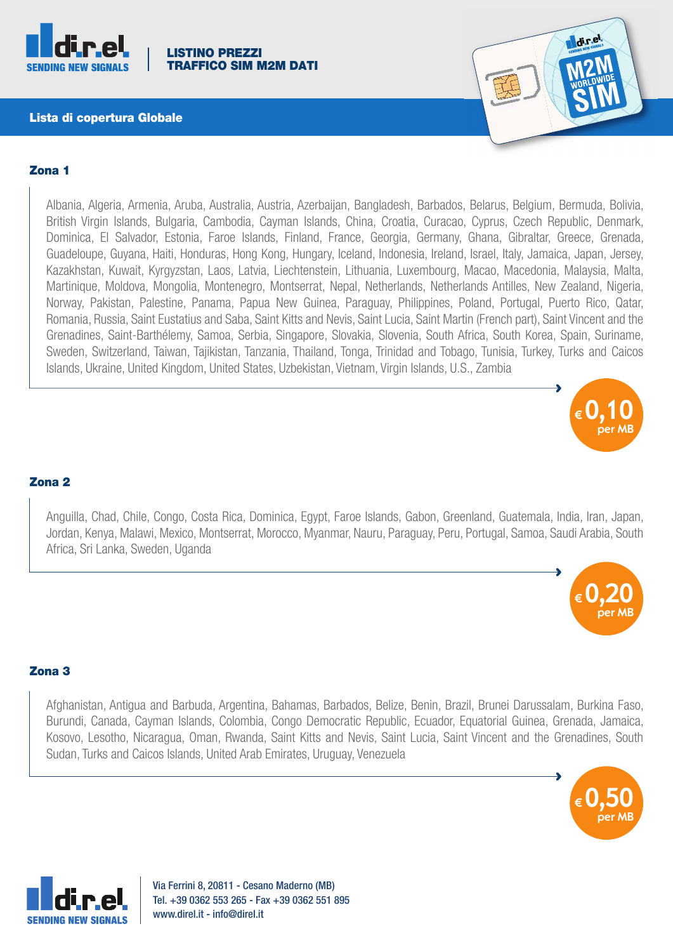

#### LISTINO PREZZI ICO SIM M2M DATI

### Lista di copertura Globale



## Zona 1

Albania, Algeria, Armenia, Aruba, Australia, Austria, Azerbaijan, Bangladesh, Barbados, Belarus, Belgium, Bermuda, Bolivia, British Virgin Islands, Bulgaria, Cambodia, Cayman Islands, China, Croatia, Curacao, Cyprus, Czech Republic, Denmark, Dominica, El Salvador, Estonia, Faroe Islands, Finland, France, Georgia, Germany, Ghana, Gibraltar, Greece, Grenada, Guadeloupe, Guyana, Haiti, Honduras, Hong Kong, Hungary, Iceland, Indonesia, Ireland, Israel, Italy, Jamaica, Japan, Jersey, Kazakhstan, Kuwait, Kyrgyzstan, Laos, Latvia, Liechtenstein, Lithuania, Luxembourg, Macao, Macedonia, Malaysia, Malta, Martinique, Moldova, Mongolia, Montenegro, Montserrat, Nepal, Netherlands, Netherlands Antilles, New Zealand, Nigeria, Norway, Pakistan, Palestine, Panama, Papua New Guinea, Paraguay, Philippines, Poland, Portugal, Puerto Rico, Qatar, Romania, Russia, Saint Eustatius and Saba, Saint Kitts and Nevis, Saint Lucia, Saint Martin (French part), Saint Vincent and the Grenadines, Saint-Barthélemy, Samoa, Serbia, Singapore, Slovakia, Slovenia, South Africa, South Korea, Spain, Suriname, Sweden, Switzerland, Taiwan, Tajikistan, Tanzania, Thailand, Tonga, Trinidad and Tobago, Tunisia, Turkey, Turks and Caicos Islands, Ukraine, United Kingdom, United States, Uzbekistan, Vietnam, Virgin Islands, U.S., Zambia



à

### Zona 2

Anguilla, Chad, Chile, Congo, Costa Rica, Dominica, Egypt, Faroe Islands, Gabon, Greenland, Guatemala, India, Iran, Japan, Jordan, Kenya, Malawi, Mexico, Montserrat, Morocco, Myanmar, Nauru, Paraguay, Peru, Portugal, Samoa, Saudi Arabia, South Africa, Sri Lanka, Sweden, Uganda



## Zona 3

Afghanistan, Antigua and Barbuda, Argentina, Bahamas, Barbados, Belize, Benin, Brazil, Brunei Darussalam, Burkina Faso, Burundi, Canada, Cayman Islands, Colombia, Congo Democratic Republic, Ecuador, Equatorial Guinea, Grenada, Jamaica, Kosovo, Lesotho, Nicaragua, Oman, Rwanda, Saint Kitts and Nevis, Saint Lucia, Saint Vincent and the Grenadines, South Sudan, Turks and Caicos Islands, United Arab Emirates, Uruguay, Venezuela